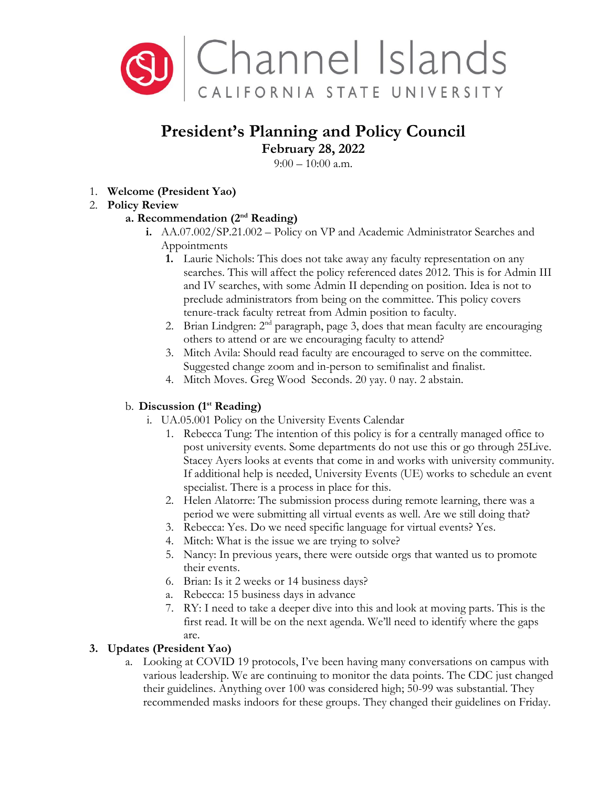

# **President's Planning and Policy Council**

**February 28, 2022**

 $9:00 - 10:00$  a.m.

1. **Welcome (President Yao)**

## 2. **Policy Review**

### **a. Recommendation (2nd Reading)**

- **i.** AA.07.002/SP.21.002 Policy on VP and Academic Administrator Searches and Appointments
	- **1.** Laurie Nichols: This does not take away any faculty representation on any searches. This will affect the policy referenced dates 2012. This is for Admin III and IV searches, with some Admin II depending on position. Idea is not to preclude administrators from being on the committee. This policy covers tenure-track faculty retreat from Admin position to faculty.
	- 2. Brian Lindgren:  $2<sup>nd</sup>$  paragraph, page 3, does that mean faculty are encouraging others to attend or are we encouraging faculty to attend?
	- 3. Mitch Avila: Should read faculty are encouraged to serve on the committee. Suggested change zoom and in-person to semifinalist and finalist.
	- 4. Mitch Moves. Greg Wood Seconds. 20 yay. 0 nay. 2 abstain.

### b. **Discussion (1st Reading)**

- i. UA.05.001 Policy on the University Events Calendar
	- 1. Rebecca Tung: The intention of this policy is for a centrally managed office to post university events. Some departments do not use this or go through 25Live. Stacey Ayers looks at events that come in and works with university community. If additional help is needed, University Events (UE) works to schedule an event specialist. There is a process in place for this.
	- 2. Helen Alatorre: The submission process during remote learning, there was a period we were submitting all virtual events as well. Are we still doing that?
	- 3. Rebecca: Yes. Do we need specific language for virtual events? Yes.
	- 4. Mitch: What is the issue we are trying to solve?
	- 5. Nancy: In previous years, there were outside orgs that wanted us to promote their events.
	- 6. Brian: Is it 2 weeks or 14 business days?
	- a. Rebecca: 15 business days in advance
	- 7. RY: I need to take a deeper dive into this and look at moving parts. This is the first read. It will be on the next agenda. We'll need to identify where the gaps are.

### **3. Updates (President Yao)**

a. Looking at COVID 19 protocols, I've been having many conversations on campus with various leadership. We are continuing to monitor the data points. The CDC just changed their guidelines. Anything over 100 was considered high; 50-99 was substantial. They recommended masks indoors for these groups. They changed their guidelines on Friday.